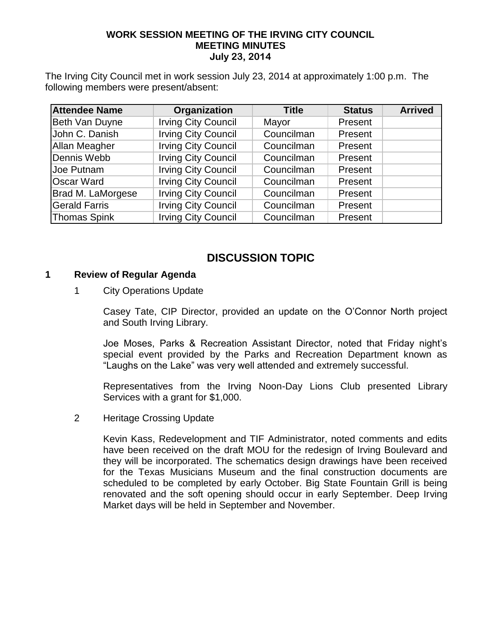### **WORK SESSION MEETING OF THE IRVING CITY COUNCIL MEETING MINUTES July 23, 2014**

The Irving City Council met in work session July 23, 2014 at approximately 1:00 p.m. The following members were present/absent:

| <b>Attendee Name</b> | Organization               | <b>Title</b> | <b>Status</b> | <b>Arrived</b> |
|----------------------|----------------------------|--------------|---------------|----------------|
| Beth Van Duyne       | <b>Irving City Council</b> | Mayor        | Present       |                |
| John C. Danish       | <b>Irving City Council</b> | Councilman   | Present       |                |
| <b>Allan Meagher</b> | <b>Irving City Council</b> | Councilman   | Present       |                |
| Dennis Webb          | <b>Irving City Council</b> | Councilman   | Present       |                |
| <b>Joe Putnam</b>    | <b>Irving City Council</b> | Councilman   | Present       |                |
| <b>Oscar Ward</b>    | <b>Irving City Council</b> | Councilman   | Present       |                |
| Brad M. LaMorgese    | <b>Irving City Council</b> | Councilman   | Present       |                |
| <b>Gerald Farris</b> | <b>Irving City Council</b> | Councilman   | Present       |                |
| <b>Thomas Spink</b>  | <b>Irving City Council</b> | Councilman   | Present       |                |

# **DISCUSSION TOPIC**

### **1 Review of Regular Agenda**

### 1 City Operations Update

Casey Tate, CIP Director, provided an update on the O'Connor North project and South Irving Library.

Joe Moses, Parks & Recreation Assistant Director, noted that Friday night's special event provided by the Parks and Recreation Department known as "Laughs on the Lake" was very well attended and extremely successful.

Representatives from the Irving Noon-Day Lions Club presented Library Services with a grant for \$1,000.

2 Heritage Crossing Update

Kevin Kass, Redevelopment and TIF Administrator, noted comments and edits have been received on the draft MOU for the redesign of Irving Boulevard and they will be incorporated. The schematics design drawings have been received for the Texas Musicians Museum and the final construction documents are scheduled to be completed by early October. Big State Fountain Grill is being renovated and the soft opening should occur in early September. Deep Irving Market days will be held in September and November.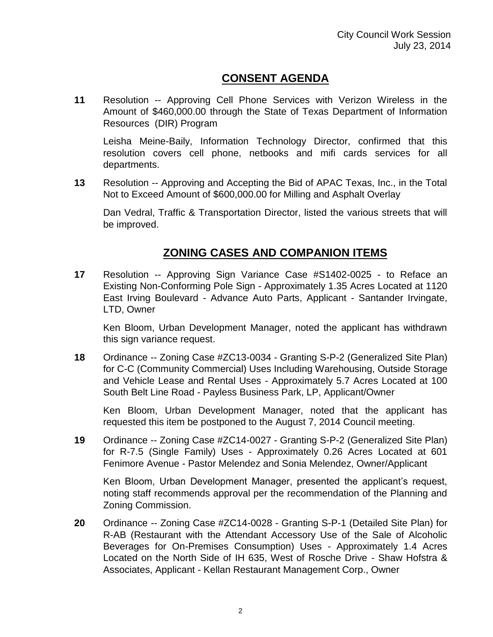# **CONSENT AGENDA**

**11** Resolution -- Approving Cell Phone Services with Verizon Wireless in the Amount of \$460,000.00 through the State of Texas Department of Information Resources (DIR) Program

Leisha Meine-Baily, Information Technology Director, confirmed that this resolution covers cell phone, netbooks and mifi cards services for all departments.

**13** Resolution -- Approving and Accepting the Bid of APAC Texas, Inc., in the Total Not to Exceed Amount of \$600,000.00 for Milling and Asphalt Overlay

Dan Vedral, Traffic & Transportation Director, listed the various streets that will be improved.

## **ZONING CASES AND COMPANION ITEMS**

**17** Resolution -- Approving Sign Variance Case #S1402-0025 - to Reface an Existing Non-Conforming Pole Sign - Approximately 1.35 Acres Located at 1120 East Irving Boulevard - Advance Auto Parts, Applicant - Santander Irvingate, LTD, Owner

Ken Bloom, Urban Development Manager, noted the applicant has withdrawn this sign variance request.

**18** Ordinance -- Zoning Case #ZC13-0034 - Granting S-P-2 (Generalized Site Plan) for C-C (Community Commercial) Uses Including Warehousing, Outside Storage and Vehicle Lease and Rental Uses - Approximately 5.7 Acres Located at 100 South Belt Line Road - Payless Business Park, LP, Applicant/Owner

Ken Bloom, Urban Development Manager, noted that the applicant has requested this item be postponed to the August 7, 2014 Council meeting.

**19** Ordinance -- Zoning Case #ZC14-0027 - Granting S-P-2 (Generalized Site Plan) for R-7.5 (Single Family) Uses - Approximately 0.26 Acres Located at 601 Fenimore Avenue - Pastor Melendez and Sonia Melendez, Owner/Applicant

Ken Bloom, Urban Development Manager, presented the applicant's request, noting staff recommends approval per the recommendation of the Planning and Zoning Commission.

**20** Ordinance -- Zoning Case #ZC14-0028 - Granting S-P-1 (Detailed Site Plan) for R-AB (Restaurant with the Attendant Accessory Use of the Sale of Alcoholic Beverages for On-Premises Consumption) Uses - Approximately 1.4 Acres Located on the North Side of IH 635, West of Rosche Drive - Shaw Hofstra & Associates, Applicant - Kellan Restaurant Management Corp., Owner